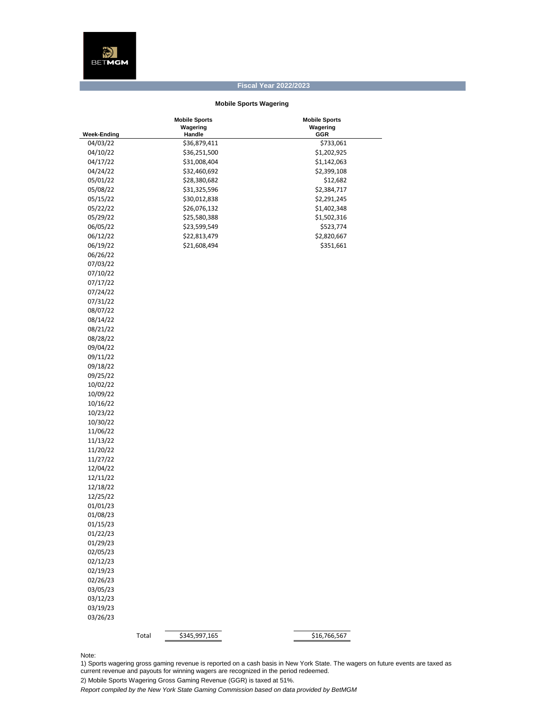## **Fiscal Year 2022/2023**

## **Mobile Sports Wagering**

|                    | <b>Mobile Sports</b>   | <b>Mobile Sports</b> |
|--------------------|------------------------|----------------------|
|                    | Wagering               | Wagering             |
| <b>Week-Ending</b> | Handle                 | GGR                  |
| 04/03/22           | \$36,879,411           | \$733,061            |
| 04/10/22           | \$36,251,500           | \$1,202,925          |
| 04/17/22           | \$31,008,404           | \$1,142,063          |
| 04/24/22           | \$32,460,692           | \$2,399,108          |
| 05/01/22           | \$28,380,682           | \$12,682             |
| 05/08/22           | \$31,325,596           | \$2,384,717          |
| 05/15/22           | \$30,012,838           | \$2,291,245          |
| 05/22/22           | \$26,076,132           | \$1,402,348          |
| 05/29/22           | \$25,580,388           | \$1,502,316          |
| 06/05/22           | \$23,599,549           | \$523,774            |
| 06/12/22           | \$22,813,479           | \$2,820,667          |
| 06/19/22           | \$21,608,494           | \$351,661            |
| 06/26/22           |                        |                      |
| 07/03/22           |                        |                      |
| 07/10/22           |                        |                      |
| 07/17/22           |                        |                      |
| 07/24/22           |                        |                      |
| 07/31/22           |                        |                      |
| 08/07/22           |                        |                      |
| 08/14/22           |                        |                      |
| 08/21/22           |                        |                      |
| 08/28/22           |                        |                      |
| 09/04/22           |                        |                      |
| 09/11/22           |                        |                      |
| 09/18/22           |                        |                      |
| 09/25/22           |                        |                      |
| 10/02/22           |                        |                      |
| 10/09/22           |                        |                      |
| 10/16/22           |                        |                      |
| 10/23/22           |                        |                      |
| 10/30/22           |                        |                      |
| 11/06/22           |                        |                      |
| 11/13/22           |                        |                      |
| 11/20/22           |                        |                      |
|                    |                        |                      |
| 11/27/22           |                        |                      |
| 12/04/22           |                        |                      |
| 12/11/22           |                        |                      |
| 12/18/22           |                        |                      |
| 12/25/22           |                        |                      |
| 01/01/23           |                        |                      |
| 01/08/23           |                        |                      |
| 01/15/23           |                        |                      |
| 01/22/23           |                        |                      |
| 01/29/23           |                        |                      |
| 02/05/23           |                        |                      |
| 02/12/23           |                        |                      |
| 02/19/23           |                        |                      |
| 02/26/23           |                        |                      |
| 03/05/23           |                        |                      |
| 03/12/23           |                        |                      |
| 03/19/23           |                        |                      |
| 03/26/23           |                        |                      |
|                    |                        |                      |
|                    | Total<br>\$345,997,165 | \$16,766,567         |

Note:

1) Sports wagering gross gaming revenue is reported on a cash basis in New York State. The wagers on future events are taxed as current revenue and payouts for winning wagers are recognized in the period redeemed.

2) Mobile Sports Wagering Gross Gaming Revenue (GGR) is taxed at 51%.

*Report compiled by the New York State Gaming Commission based on data provided by BetMGM*